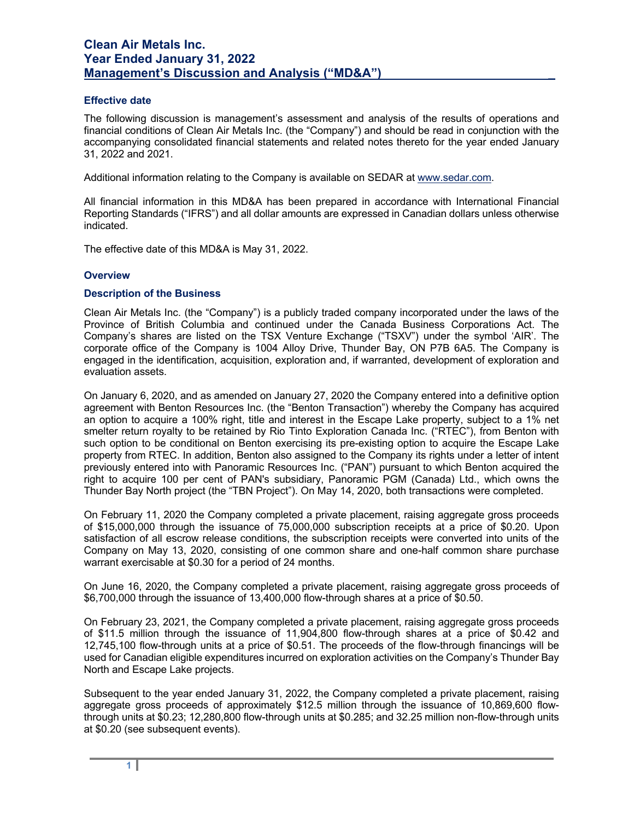### **Effective date**

The following discussion is management's assessment and analysis of the results of operations and financial conditions of Clean Air Metals Inc. (the "Company") and should be read in conjunction with the accompanying consolidated financial statements and related notes thereto for the year ended January 31, 2022 and 2021.

Additional information relating to the Company is available on SEDAR at www.sedar.com.

All financial information in this MD&A has been prepared in accordance with International Financial Reporting Standards ("IFRS") and all dollar amounts are expressed in Canadian dollars unless otherwise indicated.

The effective date of this MD&A is May 31, 2022.

#### **Overview**

#### **Description of the Business**

Clean Air Metals Inc. (the "Company") is a publicly traded company incorporated under the laws of the Province of British Columbia and continued under the Canada Business Corporations Act. The Company's shares are listed on the TSX Venture Exchange ("TSXV") under the symbol 'AIR'. The corporate office of the Company is 1004 Alloy Drive, Thunder Bay, ON P7B 6A5. The Company is engaged in the identification, acquisition, exploration and, if warranted, development of exploration and evaluation assets.

On January 6, 2020, and as amended on January 27, 2020 the Company entered into a definitive option agreement with Benton Resources Inc. (the "Benton Transaction") whereby the Company has acquired an option to acquire a 100% right, title and interest in the Escape Lake property, subject to a 1% net smelter return royalty to be retained by Rio Tinto Exploration Canada Inc. ("RTEC"), from Benton with such option to be conditional on Benton exercising its pre-existing option to acquire the Escape Lake property from RTEC. In addition, Benton also assigned to the Company its rights under a letter of intent previously entered into with Panoramic Resources Inc. ("PAN") pursuant to which Benton acquired the right to acquire 100 per cent of PAN's subsidiary, Panoramic PGM (Canada) Ltd., which owns the Thunder Bay North project (the "TBN Project"). On May 14, 2020, both transactions were completed.

On February 11, 2020 the Company completed a private placement, raising aggregate gross proceeds of \$15,000,000 through the issuance of 75,000,000 subscription receipts at a price of \$0.20. Upon satisfaction of all escrow release conditions, the subscription receipts were converted into units of the Company on May 13, 2020, consisting of one common share and one-half common share purchase warrant exercisable at \$0.30 for a period of 24 months.

On June 16, 2020, the Company completed a private placement, raising aggregate gross proceeds of \$6,700,000 through the issuance of 13,400,000 flow-through shares at a price of \$0.50.

On February 23, 2021, the Company completed a private placement, raising aggregate gross proceeds of \$11.5 million through the issuance of 11,904,800 flow-through shares at a price of \$0.42 and 12,745,100 flow-through units at a price of \$0.51. The proceeds of the flow-through financings will be used for Canadian eligible expenditures incurred on exploration activities on the Company's Thunder Bay North and Escape Lake projects.

Subsequent to the year ended January 31, 2022, the Company completed a private placement, raising aggregate gross proceeds of approximately \$12.5 million through the issuance of 10,869,600 flowthrough units at \$0.23; 12,280,800 flow-through units at \$0.285; and 32.25 million non-flow-through units at \$0.20 (see subsequent events).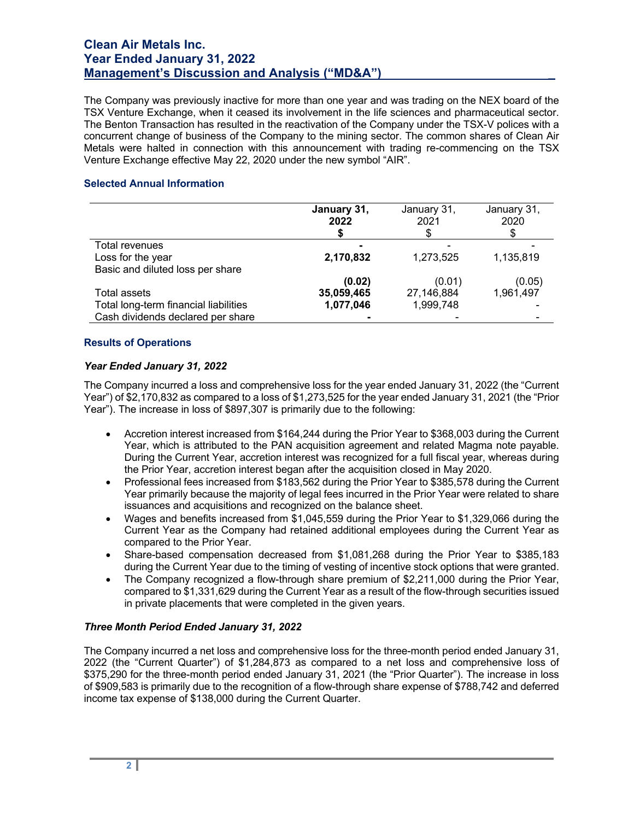The Company was previously inactive for more than one year and was trading on the NEX board of the TSX Venture Exchange, when it ceased its involvement in the life sciences and pharmaceutical sector. The Benton Transaction has resulted in the reactivation of the Company under the TSX-V polices with a concurrent change of business of the Company to the mining sector. The common shares of Clean Air Metals were halted in connection with this announcement with trading re-commencing on the TSX Venture Exchange effective May 22, 2020 under the new symbol "AIR".

### **Selected Annual Information**

|                                       | January 31,<br>2022 | January 31,<br>2021 | January 31,<br>2020<br>S |
|---------------------------------------|---------------------|---------------------|--------------------------|
| Total revenues                        |                     |                     |                          |
| Loss for the year                     | 2,170,832           | 1,273,525           | 1,135,819                |
| Basic and diluted loss per share      |                     |                     |                          |
|                                       | (0.02)              | (0.01)              | (0.05)                   |
| Total assets                          | 35,059,465          | 27,146,884          | 1,961,497                |
| Total long-term financial liabilities | 1,077,046           | 1,999,748           |                          |
| Cash dividends declared per share     |                     |                     |                          |

### **Results of Operations**

### *Year Ended January 31, 2022*

The Company incurred a loss and comprehensive loss for the year ended January 31, 2022 (the "Current Year") of \$2,170,832 as compared to a loss of \$1,273,525 for the year ended January 31, 2021 (the "Prior Year"). The increase in loss of \$897,307 is primarily due to the following:

- Accretion interest increased from \$164,244 during the Prior Year to \$368,003 during the Current Year, which is attributed to the PAN acquisition agreement and related Magma note payable. During the Current Year, accretion interest was recognized for a full fiscal year, whereas during the Prior Year, accretion interest began after the acquisition closed in May 2020.
- Professional fees increased from \$183,562 during the Prior Year to \$385,578 during the Current Year primarily because the majority of legal fees incurred in the Prior Year were related to share issuances and acquisitions and recognized on the balance sheet.
- Wages and benefits increased from \$1,045,559 during the Prior Year to \$1,329,066 during the Current Year as the Company had retained additional employees during the Current Year as compared to the Prior Year.
- Share-based compensation decreased from \$1,081,268 during the Prior Year to \$385,183 during the Current Year due to the timing of vesting of incentive stock options that were granted.
- The Company recognized a flow-through share premium of \$2,211,000 during the Prior Year, compared to \$1,331,629 during the Current Year as a result of the flow-through securities issued in private placements that were completed in the given years.

## *Three Month Period Ended January 31, 2022*

The Company incurred a net loss and comprehensive loss for the three-month period ended January 31, 2022 (the "Current Quarter") of \$1,284,873 as compared to a net loss and comprehensive loss of \$375,290 for the three-month period ended January 31, 2021 (the "Prior Quarter"). The increase in loss of \$909,583 is primarily due to the recognition of a flow-through share expense of \$788,742 and deferred income tax expense of \$138,000 during the Current Quarter.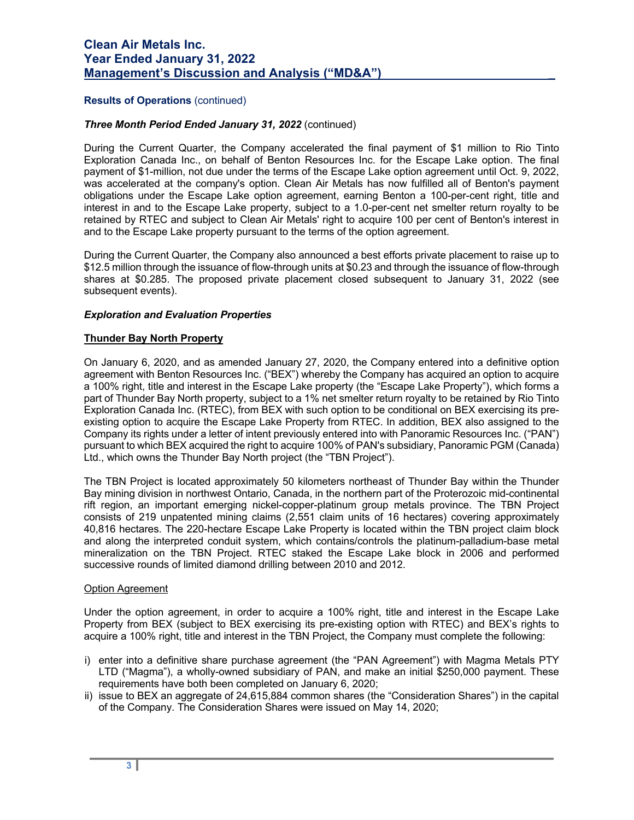### **Results of Operations** (continued)

### *Three Month Period Ended January 31, 2022* (continued)

During the Current Quarter, the Company accelerated the final payment of \$1 million to Rio Tinto Exploration Canada Inc., on behalf of Benton Resources Inc. for the Escape Lake option. The final payment of \$1-million, not due under the terms of the Escape Lake option agreement until Oct. 9, 2022, was accelerated at the company's option. Clean Air Metals has now fulfilled all of Benton's payment obligations under the Escape Lake option agreement, earning Benton a 100-per-cent right, title and interest in and to the Escape Lake property, subject to a 1.0-per-cent net smelter return royalty to be retained by RTEC and subject to Clean Air Metals' right to acquire 100 per cent of Benton's interest in and to the Escape Lake property pursuant to the terms of the option agreement.

During the Current Quarter, the Company also announced a best efforts private placement to raise up to \$12.5 million through the issuance of flow-through units at \$0.23 and through the issuance of flow-through shares at \$0.285. The proposed private placement closed subsequent to January 31, 2022 (see subsequent events).

#### *Exploration and Evaluation Properties*

#### **Thunder Bay North Property**

On January 6, 2020, and as amended January 27, 2020, the Company entered into a definitive option agreement with Benton Resources Inc. ("BEX") whereby the Company has acquired an option to acquire a 100% right, title and interest in the Escape Lake property (the "Escape Lake Property"), which forms a part of Thunder Bay North property, subject to a 1% net smelter return royalty to be retained by Rio Tinto Exploration Canada Inc. (RTEC), from BEX with such option to be conditional on BEX exercising its preexisting option to acquire the Escape Lake Property from RTEC. In addition, BEX also assigned to the Company its rights under a letter of intent previously entered into with Panoramic Resources Inc. ("PAN") pursuant to which BEX acquired the right to acquire 100% of PAN's subsidiary, Panoramic PGM (Canada) Ltd., which owns the Thunder Bay North project (the "TBN Project").

The TBN Project is located approximately 50 kilometers northeast of Thunder Bay within the Thunder Bay mining division in northwest Ontario, Canada, in the northern part of the Proterozoic mid-continental rift region, an important emerging nickel-copper-platinum group metals province. The TBN Project consists of 219 unpatented mining claims (2,551 claim units of 16 hectares) covering approximately 40,816 hectares. The 220-hectare Escape Lake Property is located within the TBN project claim block and along the interpreted conduit system, which contains/controls the platinum-palladium-base metal mineralization on the TBN Project. RTEC staked the Escape Lake block in 2006 and performed successive rounds of limited diamond drilling between 2010 and 2012.

#### Option Agreement

Under the option agreement, in order to acquire a 100% right, title and interest in the Escape Lake Property from BEX (subject to BEX exercising its pre-existing option with RTEC) and BEX's rights to acquire a 100% right, title and interest in the TBN Project, the Company must complete the following:

- i) enter into a definitive share purchase agreement (the "PAN Agreement") with Magma Metals PTY LTD ("Magma"), a wholly-owned subsidiary of PAN, and make an initial \$250,000 payment. These requirements have both been completed on January 6, 2020;
- ii) issue to BEX an aggregate of 24,615,884 common shares (the "Consideration Shares") in the capital of the Company. The Consideration Shares were issued on May 14, 2020;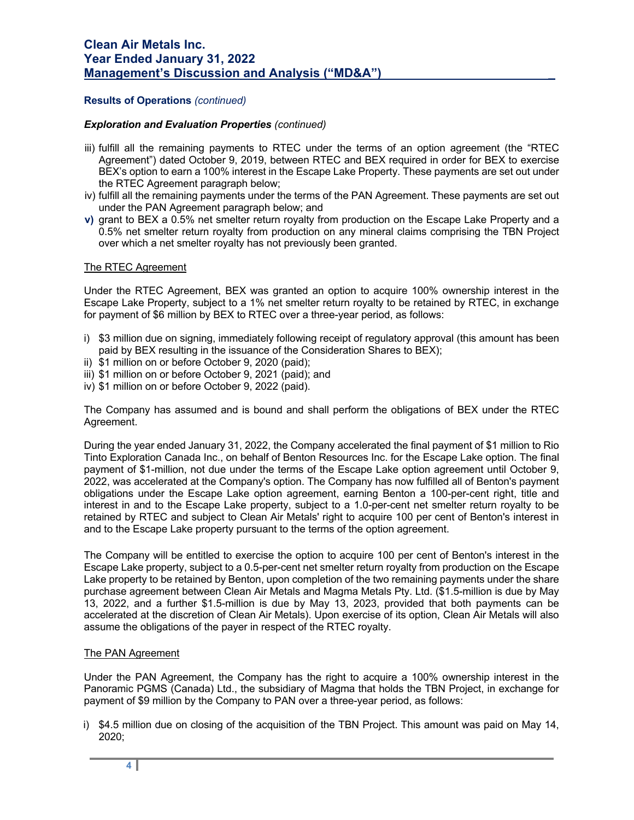### **Results of Operations** *(continued)*

#### *Exploration and Evaluation Properties (continued)*

- iii) fulfill all the remaining payments to RTEC under the terms of an option agreement (the "RTEC Agreement") dated October 9, 2019, between RTEC and BEX required in order for BEX to exercise BEX's option to earn a 100% interest in the Escape Lake Property. These payments are set out under the RTEC Agreement paragraph below;
- iv) fulfill all the remaining payments under the terms of the PAN Agreement. These payments are set out under the PAN Agreement paragraph below; and
- **v)** grant to BEX a 0.5% net smelter return royalty from production on the Escape Lake Property and a 0.5% net smelter return royalty from production on any mineral claims comprising the TBN Project over which a net smelter royalty has not previously been granted.

### The RTEC Agreement

Under the RTEC Agreement, BEX was granted an option to acquire 100% ownership interest in the Escape Lake Property, subject to a 1% net smelter return royalty to be retained by RTEC, in exchange for payment of \$6 million by BEX to RTEC over a three-year period, as follows:

- i) \$3 million due on signing, immediately following receipt of regulatory approval (this amount has been paid by BEX resulting in the issuance of the Consideration Shares to BEX);
- ii) \$1 million on or before October 9, 2020 (paid);
- iii) \$1 million on or before October 9, 2021 (paid); and
- iv) \$1 million on or before October 9, 2022 (paid).

The Company has assumed and is bound and shall perform the obligations of BEX under the RTEC Agreement.

During the year ended January 31, 2022, the Company accelerated the final payment of \$1 million to Rio Tinto Exploration Canada Inc., on behalf of Benton Resources Inc. for the Escape Lake option. The final payment of \$1-million, not due under the terms of the Escape Lake option agreement until October 9, 2022, was accelerated at the Company's option. The Company has now fulfilled all of Benton's payment obligations under the Escape Lake option agreement, earning Benton a 100-per-cent right, title and interest in and to the Escape Lake property, subject to a 1.0-per-cent net smelter return royalty to be retained by RTEC and subject to Clean Air Metals' right to acquire 100 per cent of Benton's interest in and to the Escape Lake property pursuant to the terms of the option agreement.

The Company will be entitled to exercise the option to acquire 100 per cent of Benton's interest in the Escape Lake property, subject to a 0.5-per-cent net smelter return royalty from production on the Escape Lake property to be retained by Benton, upon completion of the two remaining payments under the share purchase agreement between Clean Air Metals and Magma Metals Pty. Ltd. (\$1.5-million is due by May 13, 2022, and a further \$1.5-million is due by May 13, 2023, provided that both payments can be accelerated at the discretion of Clean Air Metals). Upon exercise of its option, Clean Air Metals will also assume the obligations of the payer in respect of the RTEC royalty.

#### The PAN Agreement

Under the PAN Agreement, the Company has the right to acquire a 100% ownership interest in the Panoramic PGMS (Canada) Ltd., the subsidiary of Magma that holds the TBN Project, in exchange for payment of \$9 million by the Company to PAN over a three-year period, as follows:

i) \$4.5 million due on closing of the acquisition of the TBN Project. This amount was paid on May 14, 2020;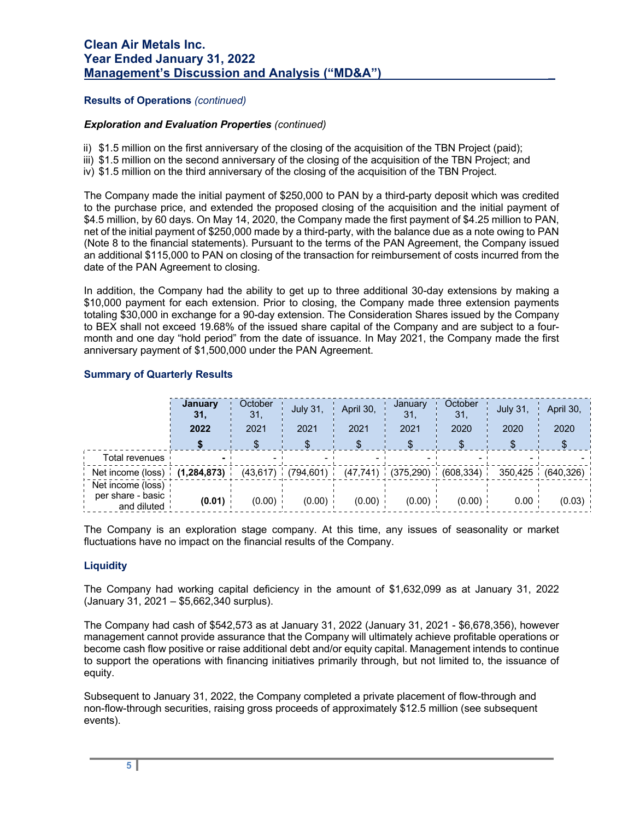### **Results of Operations** *(continued)*

#### *Exploration and Evaluation Properties (continued)*

- ii) \$1.5 million on the first anniversary of the closing of the acquisition of the TBN Project (paid);
- iii) \$1.5 million on the second anniversary of the closing of the acquisition of the TBN Project; and
- iv) \$1.5 million on the third anniversary of the closing of the acquisition of the TBN Project.

The Company made the initial payment of \$250,000 to PAN by a third-party deposit which was credited to the purchase price, and extended the proposed closing of the acquisition and the initial payment of \$4.5 million, by 60 days. On May 14, 2020, the Company made the first payment of \$4.25 million to PAN, net of the initial payment of \$250,000 made by a third-party, with the balance due as a note owing to PAN (Note 8 to the financial statements). Pursuant to the terms of the PAN Agreement, the Company issued an additional \$115,000 to PAN on closing of the transaction for reimbursement of costs incurred from the date of the PAN Agreement to closing.

In addition, the Company had the ability to get up to three additional 30-day extensions by making a \$10,000 payment for each extension. Prior to closing, the Company made three extension payments totaling \$30,000 in exchange for a 90-day extension. The Consideration Shares issued by the Company to BEX shall not exceed 19.68% of the issued share capital of the Company and are subject to a fourmonth and one day "hold period" from the date of issuance. In May 2021, the Company made the first anniversary payment of \$1,500,000 under the PAN Agreement.

|                                                       | <b>January</b> | October<br>31 | <b>July 31,</b> | April 30, | January<br>31 | October<br>31. | <b>July 31,</b> | April 30, |
|-------------------------------------------------------|----------------|---------------|-----------------|-----------|---------------|----------------|-----------------|-----------|
|                                                       | 2022           | 2021          | 2021            | 2021      | 2021          | 2020           | 2020            | 2020      |
|                                                       |                |               |                 |           |               |                |                 |           |
| Total revenues                                        |                |               |                 |           |               |                |                 |           |
| Net income (loss)                                     | (1, 284, 873)  | (43.617)      | (794.601)       | (47, 741) | (375, 290)    | (608.334)      | 350.425         | (640.326) |
| Net income (loss)<br>per share - basic<br>and diluted | (0.01)         | (0.00)        | (0.00)          | (0.00)    | (0.00)        | (0.00)         | 0.00            |           |

### **Summary of Quarterly Results**

The Company is an exploration stage company. At this time, any issues of seasonality or market fluctuations have no impact on the financial results of the Company.

## **Liquidity**

The Company had working capital deficiency in the amount of \$1,632,099 as at January 31, 2022 (January 31, 2021 – \$5,662,340 surplus).

The Company had cash of \$542,573 as at January 31, 2022 (January 31, 2021 - \$6,678,356), however management cannot provide assurance that the Company will ultimately achieve profitable operations or become cash flow positive or raise additional debt and/or equity capital. Management intends to continue to support the operations with financing initiatives primarily through, but not limited to, the issuance of equity.

Subsequent to January 31, 2022, the Company completed a private placement of flow-through and non-flow-through securities, raising gross proceeds of approximately \$12.5 million (see subsequent events).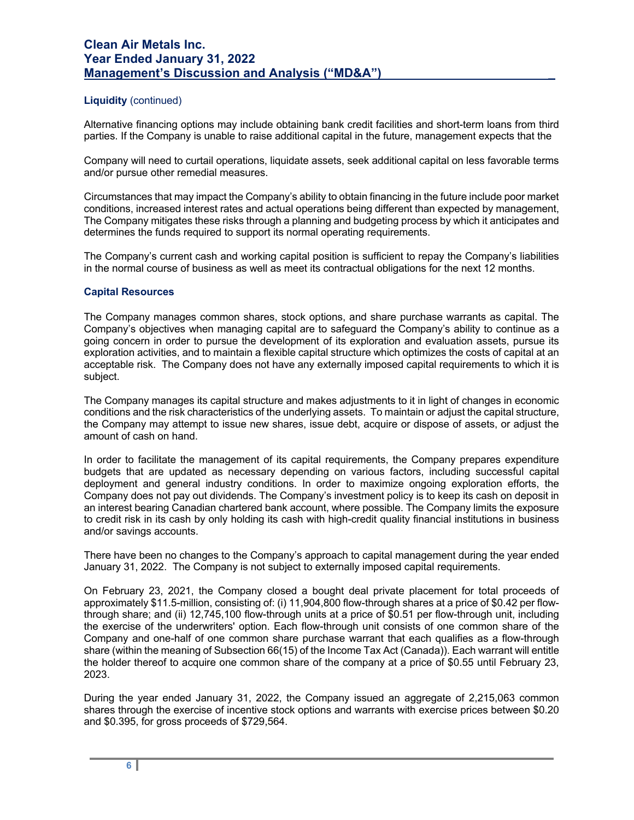## **Liquidity** (continued)

Alternative financing options may include obtaining bank credit facilities and short-term loans from third parties. If the Company is unable to raise additional capital in the future, management expects that the

Company will need to curtail operations, liquidate assets, seek additional capital on less favorable terms and/or pursue other remedial measures.

Circumstances that may impact the Company's ability to obtain financing in the future include poor market conditions, increased interest rates and actual operations being different than expected by management, The Company mitigates these risks through a planning and budgeting process by which it anticipates and determines the funds required to support its normal operating requirements.

The Company's current cash and working capital position is sufficient to repay the Company's liabilities in the normal course of business as well as meet its contractual obligations for the next 12 months.

#### **Capital Resources**

The Company manages common shares, stock options, and share purchase warrants as capital. The Company's objectives when managing capital are to safeguard the Company's ability to continue as a going concern in order to pursue the development of its exploration and evaluation assets, pursue its exploration activities, and to maintain a flexible capital structure which optimizes the costs of capital at an acceptable risk. The Company does not have any externally imposed capital requirements to which it is subject.

The Company manages its capital structure and makes adjustments to it in light of changes in economic conditions and the risk characteristics of the underlying assets. To maintain or adjust the capital structure, the Company may attempt to issue new shares, issue debt, acquire or dispose of assets, or adjust the amount of cash on hand.

In order to facilitate the management of its capital requirements, the Company prepares expenditure budgets that are updated as necessary depending on various factors, including successful capital deployment and general industry conditions. In order to maximize ongoing exploration efforts, the Company does not pay out dividends. The Company's investment policy is to keep its cash on deposit in an interest bearing Canadian chartered bank account, where possible. The Company limits the exposure to credit risk in its cash by only holding its cash with high-credit quality financial institutions in business and/or savings accounts.

There have been no changes to the Company's approach to capital management during the year ended January 31, 2022. The Company is not subject to externally imposed capital requirements.

On February 23, 2021, the Company closed a bought deal private placement for total proceeds of approximately \$11.5-million, consisting of: (i) 11,904,800 flow-through shares at a price of \$0.42 per flowthrough share; and (ii) 12,745,100 flow-through units at a price of \$0.51 per flow-through unit, including the exercise of the underwriters' option. Each flow-through unit consists of one common share of the Company and one-half of one common share purchase warrant that each qualifies as a flow-through share (within the meaning of Subsection 66(15) of the Income Tax Act (Canada)). Each warrant will entitle the holder thereof to acquire one common share of the company at a price of \$0.55 until February 23, 2023.

During the year ended January 31, 2022, the Company issued an aggregate of 2,215,063 common shares through the exercise of incentive stock options and warrants with exercise prices between \$0.20 and \$0.395, for gross proceeds of \$729,564.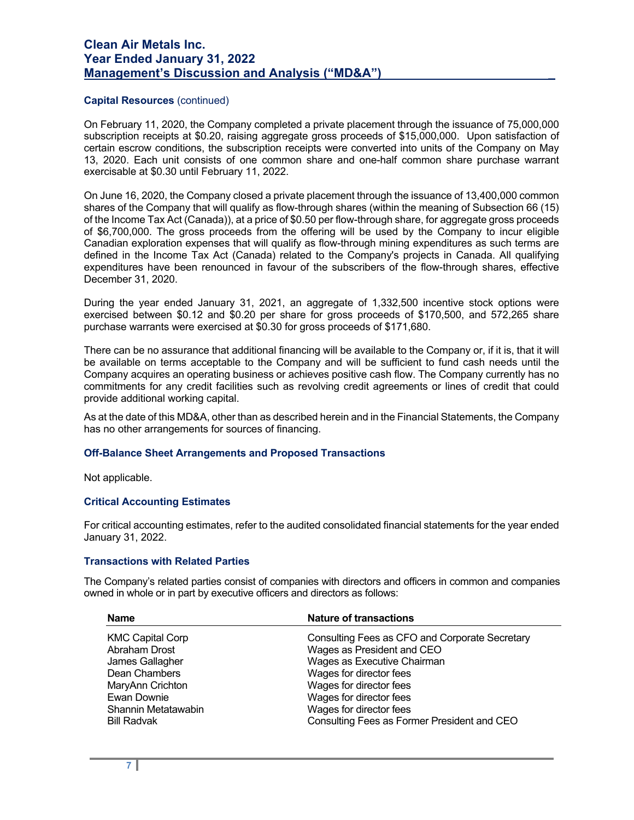#### **Capital Resources** (continued)

On February 11, 2020, the Company completed a private placement through the issuance of 75,000,000 subscription receipts at \$0.20, raising aggregate gross proceeds of \$15,000,000. Upon satisfaction of certain escrow conditions, the subscription receipts were converted into units of the Company on May 13, 2020. Each unit consists of one common share and one-half common share purchase warrant exercisable at \$0.30 until February 11, 2022.

On June 16, 2020, the Company closed a private placement through the issuance of 13,400,000 common shares of the Company that will qualify as flow-through shares (within the meaning of Subsection 66 (15) of the Income Tax Act (Canada)), at a price of \$0.50 per flow-through share, for aggregate gross proceeds of \$6,700,000. The gross proceeds from the offering will be used by the Company to incur eligible Canadian exploration expenses that will qualify as flow-through mining expenditures as such terms are defined in the Income Tax Act (Canada) related to the Company's projects in Canada. All qualifying expenditures have been renounced in favour of the subscribers of the flow-through shares, effective December 31, 2020.

During the year ended January 31, 2021, an aggregate of 1,332,500 incentive stock options were exercised between \$0.12 and \$0.20 per share for gross proceeds of \$170,500, and 572,265 share purchase warrants were exercised at \$0.30 for gross proceeds of \$171,680.

There can be no assurance that additional financing will be available to the Company or, if it is, that it will be available on terms acceptable to the Company and will be sufficient to fund cash needs until the Company acquires an operating business or achieves positive cash flow. The Company currently has no commitments for any credit facilities such as revolving credit agreements or lines of credit that could provide additional working capital.

As at the date of this MD&A, other than as described herein and in the Financial Statements, the Company has no other arrangements for sources of financing.

#### **Off-Balance Sheet Arrangements and Proposed Transactions**

Not applicable.

#### **Critical Accounting Estimates**

For critical accounting estimates, refer to the audited consolidated financial statements for the year ended January 31, 2022.

#### **Transactions with Related Parties**

The Company's related parties consist of companies with directors and officers in common and companies owned in whole or in part by executive officers and directors as follows:

| <b>Name</b>             | <b>Nature of transactions</b>                  |  |  |  |
|-------------------------|------------------------------------------------|--|--|--|
| <b>KMC Capital Corp</b> | Consulting Fees as CFO and Corporate Secretary |  |  |  |
| Abraham Drost           | Wages as President and CEO                     |  |  |  |
| James Gallagher         | Wages as Executive Chairman                    |  |  |  |
| Dean Chambers           | Wages for director fees                        |  |  |  |
| MaryAnn Crichton        | Wages for director fees                        |  |  |  |
| Ewan Downie             | Wages for director fees                        |  |  |  |
| Shannin Metatawabin     | Wages for director fees                        |  |  |  |
| <b>Bill Radvak</b>      | Consulting Fees as Former President and CEO    |  |  |  |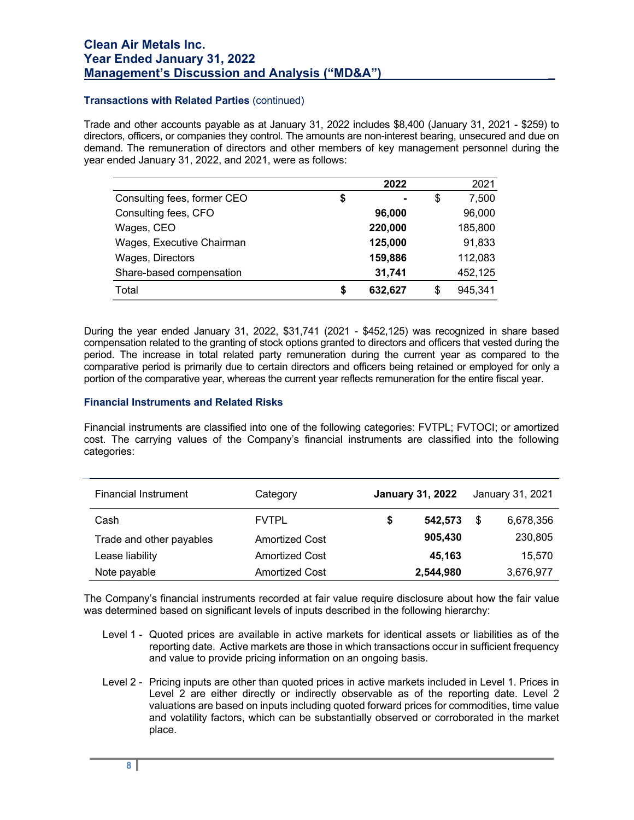### **Transactions with Related Parties** (continued)

Trade and other accounts payable as at January 31, 2022 includes \$8,400 (January 31, 2021 - \$259) to directors, officers, or companies they control. The amounts are non-interest bearing, unsecured and due on demand. The remuneration of directors and other members of key management personnel during the year ended January 31, 2022, and 2021, were as follows:

|                             |    | 2022    |    | 2021    |
|-----------------------------|----|---------|----|---------|
| Consulting fees, former CEO | \$ | ۰       | \$ | 7,500   |
| Consulting fees, CFO        |    | 96,000  |    | 96,000  |
| Wages, CEO                  |    | 220,000 |    | 185,800 |
| Wages, Executive Chairman   |    | 125,000 |    | 91,833  |
| Wages, Directors            |    | 159,886 |    | 112,083 |
| Share-based compensation    |    | 31,741  |    | 452,125 |
| Total                       | S  | 632,627 | S  | 945,341 |

During the year ended January 31, 2022, \$31,741 (2021 - \$452,125) was recognized in share based compensation related to the granting of stock options granted to directors and officers that vested during the period. The increase in total related party remuneration during the current year as compared to the comparative period is primarily due to certain directors and officers being retained or employed for only a portion of the comparative year, whereas the current year reflects remuneration for the entire fiscal year.

### **Financial Instruments and Related Risks**

Financial instruments are classified into one of the following categories: FVTPL; FVTOCI; or amortized cost. The carrying values of the Company's financial instruments are classified into the following categories:

| <b>Financial Instrument</b> | Category              |         | <b>January 31, 2022</b> |    | January 31, 2021 |  |
|-----------------------------|-----------------------|---------|-------------------------|----|------------------|--|
| Cash                        | <b>FVTPL</b>          | \$      | 542,573                 | \$ | 6,678,356        |  |
| Trade and other payables    | <b>Amortized Cost</b> | 905,430 |                         |    | 230,805          |  |
| Lease liability             | <b>Amortized Cost</b> |         | 45,163                  |    | 15.570           |  |
| Note payable                | <b>Amortized Cost</b> |         | 2,544,980               |    | 3,676,977        |  |

The Company's financial instruments recorded at fair value require disclosure about how the fair value was determined based on significant levels of inputs described in the following hierarchy:

- Level 1 Quoted prices are available in active markets for identical assets or liabilities as of the reporting date. Active markets are those in which transactions occur in sufficient frequency and value to provide pricing information on an ongoing basis.
- Level 2 Pricing inputs are other than quoted prices in active markets included in Level 1. Prices in Level 2 are either directly or indirectly observable as of the reporting date. Level 2 valuations are based on inputs including quoted forward prices for commodities, time value and volatility factors, which can be substantially observed or corroborated in the market place.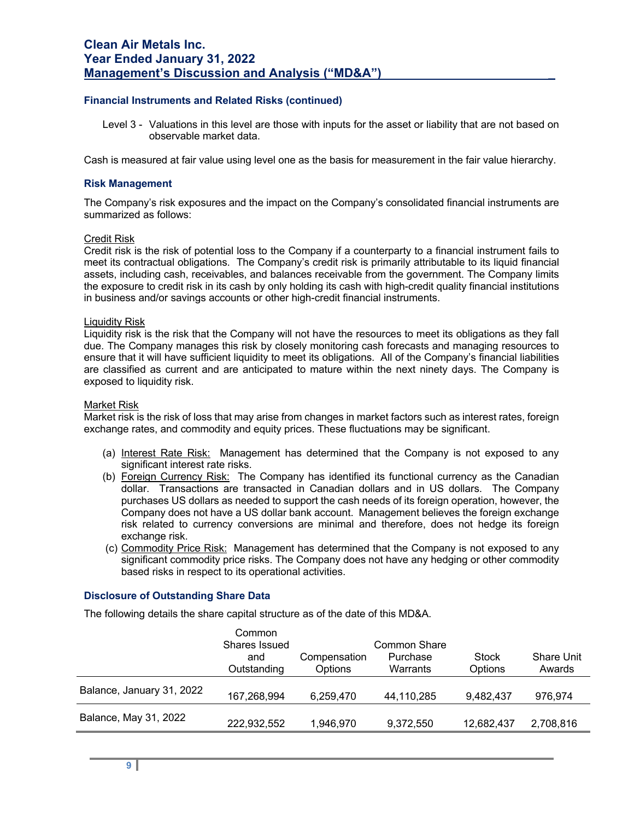### **Financial Instruments and Related Risks (continued)**

Level 3 - Valuations in this level are those with inputs for the asset or liability that are not based on observable market data.

Cash is measured at fair value using level one as the basis for measurement in the fair value hierarchy.

#### **Risk Management**

The Company's risk exposures and the impact on the Company's consolidated financial instruments are summarized as follows:

#### Credit Risk

Credit risk is the risk of potential loss to the Company if a counterparty to a financial instrument fails to meet its contractual obligations. The Company's credit risk is primarily attributable to its liquid financial assets, including cash, receivables, and balances receivable from the government. The Company limits the exposure to credit risk in its cash by only holding its cash with high-credit quality financial institutions in business and/or savings accounts or other high-credit financial instruments.

#### Liquidity Risk

Liquidity risk is the risk that the Company will not have the resources to meet its obligations as they fall due. The Company manages this risk by closely monitoring cash forecasts and managing resources to ensure that it will have sufficient liquidity to meet its obligations. All of the Company's financial liabilities are classified as current and are anticipated to mature within the next ninety days. The Company is exposed to liquidity risk.

#### Market Risk

Market risk is the risk of loss that may arise from changes in market factors such as interest rates, foreign exchange rates, and commodity and equity prices. These fluctuations may be significant.

- (a) Interest Rate Risk: Management has determined that the Company is not exposed to any significant interest rate risks.
- (b) Foreign Currency Risk: The Company has identified its functional currency as the Canadian dollar. Transactions are transacted in Canadian dollars and in US dollars. The Company purchases US dollars as needed to support the cash needs of its foreign operation, however, the Company does not have a US dollar bank account. Management believes the foreign exchange risk related to currency conversions are minimal and therefore, does not hedge its foreign exchange risk.
- (c) Commodity Price Risk: Management has determined that the Company is not exposed to any significant commodity price risks. The Company does not have any hedging or other commodity based risks in respect to its operational activities.

#### **Disclosure of Outstanding Share Data**

The following details the share capital structure as of the date of this MD&A.

|                           | Common<br>Shares Issued<br>and | Compensation | Common Share<br>Purchase | <b>Stock</b> | <b>Share Unit</b> |
|---------------------------|--------------------------------|--------------|--------------------------|--------------|-------------------|
|                           | Outstanding                    | Options      | Warrants                 | Options      | Awards            |
| Balance, January 31, 2022 | 167,268,994                    | 6,259,470    | 44,110,285               | 9.482.437    | 976.974           |
| Balance, May 31, 2022     | 222,932,552                    | 1,946,970    | 9,372,550                | 12,682,437   | 2,708,816         |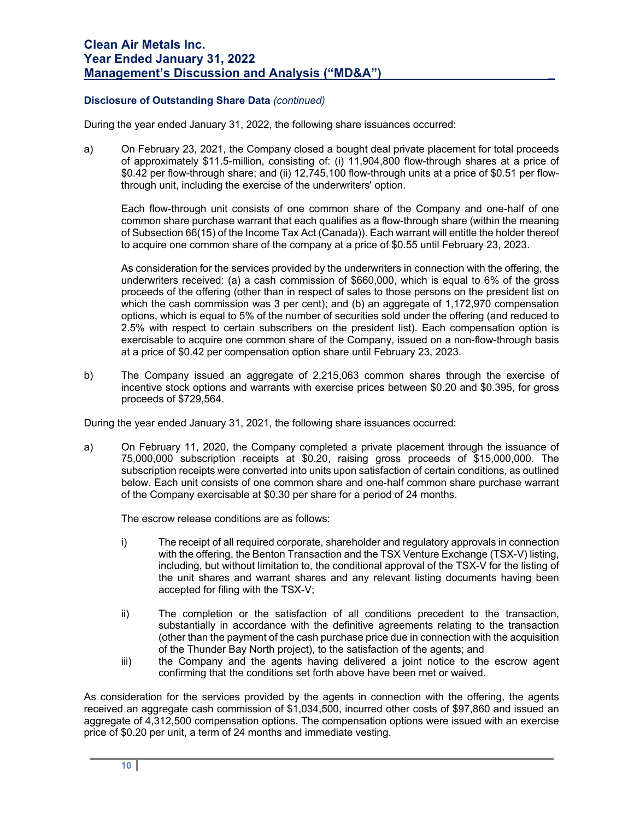## **Disclosure of Outstanding Share Data** *(continued)*

During the year ended January 31, 2022, the following share issuances occurred:

a) On February 23, 2021, the Company closed a bought deal private placement for total proceeds of approximately \$11.5-million, consisting of: (i) 11,904,800 flow-through shares at a price of \$0.42 per flow-through share; and (ii) 12,745,100 flow-through units at a price of \$0.51 per flowthrough unit, including the exercise of the underwriters' option.

Each flow-through unit consists of one common share of the Company and one-half of one common share purchase warrant that each qualifies as a flow-through share (within the meaning of Subsection 66(15) of the Income Tax Act (Canada)). Each warrant will entitle the holder thereof to acquire one common share of the company at a price of \$0.55 until February 23, 2023.

As consideration for the services provided by the underwriters in connection with the offering, the underwriters received: (a) a cash commission of \$660,000, which is equal to 6% of the gross proceeds of the offering (other than in respect of sales to those persons on the president list on which the cash commission was 3 per cent); and (b) an aggregate of 1,172,970 compensation options, which is equal to 5% of the number of securities sold under the offering (and reduced to 2.5% with respect to certain subscribers on the president list). Each compensation option is exercisable to acquire one common share of the Company, issued on a non-flow-through basis at a price of \$0.42 per compensation option share until February 23, 2023.

b) The Company issued an aggregate of 2,215,063 common shares through the exercise of incentive stock options and warrants with exercise prices between \$0.20 and \$0.395, for gross proceeds of \$729,564.

During the year ended January 31, 2021, the following share issuances occurred:

a) On February 11, 2020, the Company completed a private placement through the issuance of 75,000,000 subscription receipts at \$0.20, raising gross proceeds of \$15,000,000. The subscription receipts were converted into units upon satisfaction of certain conditions, as outlined below. Each unit consists of one common share and one-half common share purchase warrant of the Company exercisable at \$0.30 per share for a period of 24 months.

The escrow release conditions are as follows:

- i) The receipt of all required corporate, shareholder and regulatory approvals in connection with the offering, the Benton Transaction and the TSX Venture Exchange (TSX-V) listing, including, but without limitation to, the conditional approval of the TSX-V for the listing of the unit shares and warrant shares and any relevant listing documents having been accepted for filing with the TSX-V;
- ii) The completion or the satisfaction of all conditions precedent to the transaction, substantially in accordance with the definitive agreements relating to the transaction (other than the payment of the cash purchase price due in connection with the acquisition of the Thunder Bay North project), to the satisfaction of the agents; and
- iii) the Company and the agents having delivered a joint notice to the escrow agent confirming that the conditions set forth above have been met or waived.

As consideration for the services provided by the agents in connection with the offering, the agents received an aggregate cash commission of \$1,034,500, incurred other costs of \$97,860 and issued an aggregate of 4,312,500 compensation options. The compensation options were issued with an exercise price of \$0.20 per unit, a term of 24 months and immediate vesting.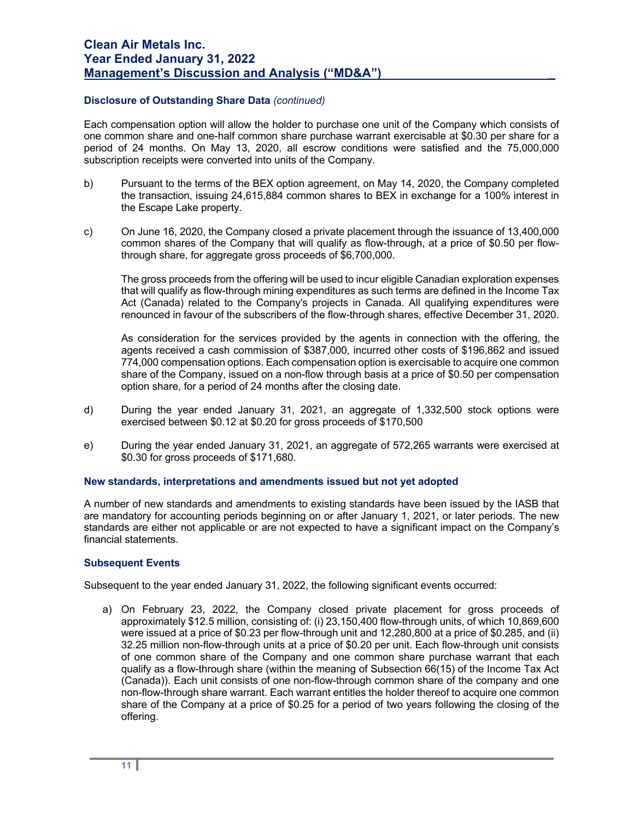### **Disclosure of Outstanding Share Data** *(continued)*

Each compensation option will allow the holder to purchase one unit of the Company which consists of one common share and one-half common share purchase warrant exercisable at \$0.30 per share for a period of 24 months. On May 13, 2020, all escrow conditions were satisfied and the 75,000,000 subscription receipts were converted into units of the Company.

- b) Pursuant to the terms of the BEX option agreement, on May 14, 2020, the Company completed the transaction, issuing 24,615,884 common shares to BEX in exchange for a 100% interest in the Escape Lake property.
- c) On June 16, 2020, the Company closed a private placement through the issuance of 13,400,000 common shares of the Company that will qualify as flow-through, at a price of \$0.50 per flowthrough share, for aggregate gross proceeds of \$6,700,000.

The gross proceeds from the offering will be used to incur eligible Canadian exploration expenses that will qualify as flow-through mining expenditures as such terms are defined in the Income Tax Act (Canada) related to the Company's projects in Canada. All qualifying expenditures were renounced in favour of the subscribers of the flow-through shares, effective December 31, 2020.

As consideration for the services provided by the agents in connection with the offering, the agents received a cash commission of \$387,000, incurred other costs of \$196,862 and issued 774,000 compensation options. Each compensation option is exercisable to acquire one common share of the Company, issued on a non-flow through basis at a price of \$0.50 per compensation option share, for a period of 24 months after the closing date.

- d) During the year ended January 31, 2021, an aggregate of 1,332,500 stock options were exercised between \$0.12 at \$0.20 for gross proceeds of \$170,500
- e) During the year ended January 31, 2021, an aggregate of 572,265 warrants were exercised at \$0.30 for gross proceeds of \$171,680.

#### **New standards, interpretations and amendments issued but not yet adopted**

A number of new standards and amendments to existing standards have been issued by the IASB that are mandatory for accounting periods beginning on or after January 1, 2021, or later periods. The new standards are either not applicable or are not expected to have a significant impact on the Company's financial statements.

#### **Subsequent Events**

Subsequent to the year ended January 31, 2022, the following significant events occurred:

a) On February 23, 2022, the Company closed private placement for gross proceeds of approximately \$12.5 million, consisting of: (i) 23,150,400 flow-through units, of which 10,869,600 were issued at a price of \$0.23 per flow-through unit and 12,280,800 at a price of \$0.285, and (ii) 32.25 million non-flow-through units at a price of \$0.20 per unit. Each flow-through unit consists of one common share of the Company and one common share purchase warrant that each qualify as a flow-through share (within the meaning of Subsection 66(15) of the Income Tax Act (Canada)). Each unit consists of one non-flow-through common share of the company and one non-flow-through share warrant. Each warrant entitles the holder thereof to acquire one common share of the Company at a price of \$0.25 for a period of two years following the closing of the offering.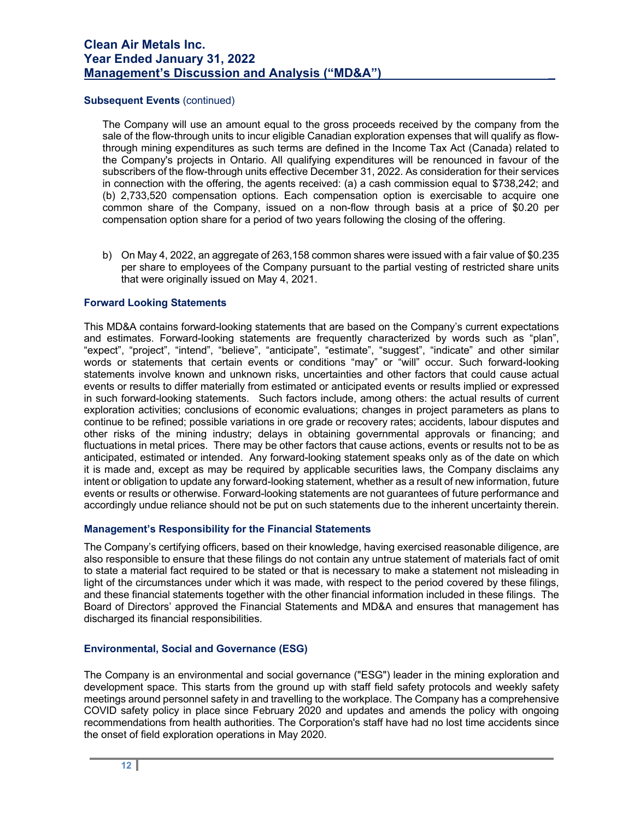### **Subsequent Events** (continued)

The Company will use an amount equal to the gross proceeds received by the company from the sale of the flow-through units to incur eligible Canadian exploration expenses that will qualify as flowthrough mining expenditures as such terms are defined in the Income Tax Act (Canada) related to the Company's projects in Ontario. All qualifying expenditures will be renounced in favour of the subscribers of the flow-through units effective December 31, 2022. As consideration for their services in connection with the offering, the agents received: (a) a cash commission equal to \$738,242; and (b) 2,733,520 compensation options. Each compensation option is exercisable to acquire one common share of the Company, issued on a non-flow through basis at a price of \$0.20 per compensation option share for a period of two years following the closing of the offering.

b) On May 4, 2022, an aggregate of 263,158 common shares were issued with a fair value of \$0.235 per share to employees of the Company pursuant to the partial vesting of restricted share units that were originally issued on May 4, 2021.

### **Forward Looking Statements**

This MD&A contains forward-looking statements that are based on the Company's current expectations and estimates. Forward-looking statements are frequently characterized by words such as "plan", "expect", "project", "intend", "believe", "anticipate", "estimate", "suggest", "indicate" and other similar words or statements that certain events or conditions "may" or "will" occur. Such forward-looking statements involve known and unknown risks, uncertainties and other factors that could cause actual events or results to differ materially from estimated or anticipated events or results implied or expressed in such forward-looking statements. Such factors include, among others: the actual results of current exploration activities; conclusions of economic evaluations; changes in project parameters as plans to continue to be refined; possible variations in ore grade or recovery rates; accidents, labour disputes and other risks of the mining industry; delays in obtaining governmental approvals or financing; and fluctuations in metal prices. There may be other factors that cause actions, events or results not to be as anticipated, estimated or intended. Any forward-looking statement speaks only as of the date on which it is made and, except as may be required by applicable securities laws, the Company disclaims any intent or obligation to update any forward-looking statement, whether as a result of new information, future events or results or otherwise. Forward-looking statements are not guarantees of future performance and accordingly undue reliance should not be put on such statements due to the inherent uncertainty therein.

#### **Management's Responsibility for the Financial Statements**

The Company's certifying officers, based on their knowledge, having exercised reasonable diligence, are also responsible to ensure that these filings do not contain any untrue statement of materials fact of omit to state a material fact required to be stated or that is necessary to make a statement not misleading in light of the circumstances under which it was made, with respect to the period covered by these filings, and these financial statements together with the other financial information included in these filings. The Board of Directors' approved the Financial Statements and MD&A and ensures that management has discharged its financial responsibilities.

## **Environmental, Social and Governance (ESG)**

The Company is an environmental and social governance ("ESG") leader in the mining exploration and development space. This starts from the ground up with staff field safety protocols and weekly safety meetings around personnel safety in and travelling to the workplace. The Company has a comprehensive COVID safety policy in place since February 2020 and updates and amends the policy with ongoing recommendations from health authorities. The Corporation's staff have had no lost time accidents since the onset of field exploration operations in May 2020.